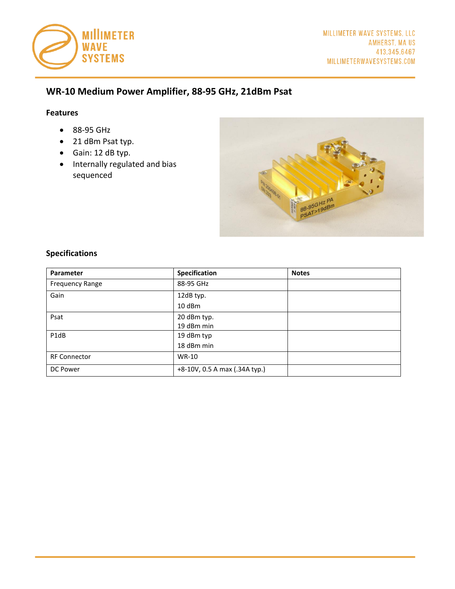

# **WR-10 Medium Power Amplifier, 88-95 GHz, 21dBm Psat**

#### **Features**

- 88-95 GHz
- 21 dBm Psat typ.
- Gain: 12 dB typ.
- Internally regulated and bias sequenced



### **Specifications**

| Parameter              | Specification                 | <b>Notes</b> |
|------------------------|-------------------------------|--------------|
| <b>Frequency Range</b> | 88-95 GHz                     |              |
| Gain                   | 12dB typ.                     |              |
|                        | $10$ dBm                      |              |
| Psat                   | 20 dBm typ.                   |              |
|                        | 19 dBm min                    |              |
| P1dB                   | 19 dBm typ                    |              |
|                        | 18 dBm min                    |              |
| <b>RF Connector</b>    | <b>WR-10</b>                  |              |
| DC Power               | +8-10V, 0.5 A max (.34A typ.) |              |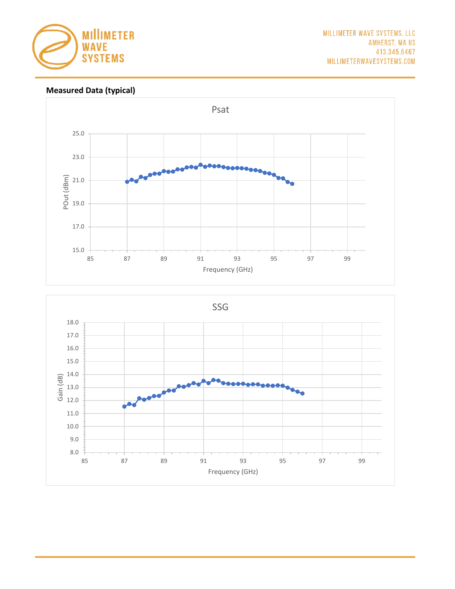

**Measured Data (typical)**



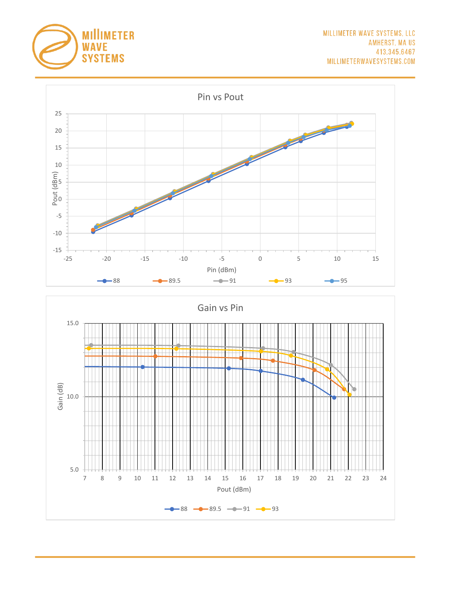